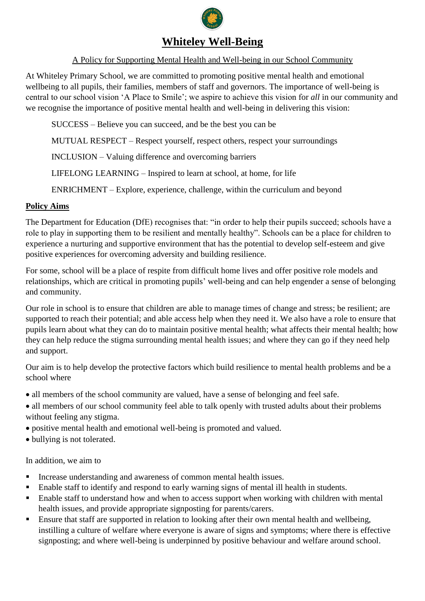

# **Whiteley Well-Being**

### A Policy for Supporting Mental Health and Well-being in our School Community

At Whiteley Primary School, we are committed to promoting positive mental health and emotional wellbeing to all pupils, their families, members of staff and governors. The importance of well-being is central to our school vision 'A Place to Smile'; we aspire to achieve this vision for *all* in our community and we recognise the importance of positive mental health and well-being in delivering this vision:

SUCCESS – Believe you can succeed, and be the best you can be

MUTUAL RESPECT – Respect yourself, respect others, respect your surroundings

INCLUSION – Valuing difference and overcoming barriers

LIFELONG LEARNING – Inspired to learn at school, at home, for life

ENRICHMENT – Explore, experience, challenge, within the curriculum and beyond

#### **Policy Aims**

The Department for Education (DfE) recognises that: "in order to help their pupils succeed; schools have a role to play in supporting them to be resilient and mentally healthy". Schools can be a place for children to experience a nurturing and supportive environment that has the potential to develop self-esteem and give positive experiences for overcoming adversity and building resilience.

For some, school will be a place of respite from difficult home lives and offer positive role models and relationships, which are critical in promoting pupils' well-being and can help engender a sense of belonging and community.

Our role in school is to ensure that children are able to manage times of change and stress; be resilient; are supported to reach their potential; and able access help when they need it. We also have a role to ensure that pupils learn about what they can do to maintain positive mental health; what affects their mental health; how they can help reduce the stigma surrounding mental health issues; and where they can go if they need help and support.

Our aim is to help develop the protective factors which build resilience to mental health problems and be a school where

- all members of the school community are valued, have a sense of belonging and feel safe.
- all members of our school community feel able to talk openly with trusted adults about their problems without feeling any stigma.
- positive mental health and emotional well-being is promoted and valued.
- bullying is not tolerated.

In addition, we aim to

- Increase understanding and awareness of common mental health issues.
- Enable staff to identify and respond to early warning signs of mental ill health in students.
- Enable staff to understand how and when to access support when working with children with mental health issues, and provide appropriate signposting for parents/carers.
- **Ensure that staff are supported in relation to looking after their own mental health and wellbeing,** instilling a culture of welfare where everyone is aware of signs and symptoms; where there is effective signposting; and where well-being is underpinned by positive behaviour and welfare around school.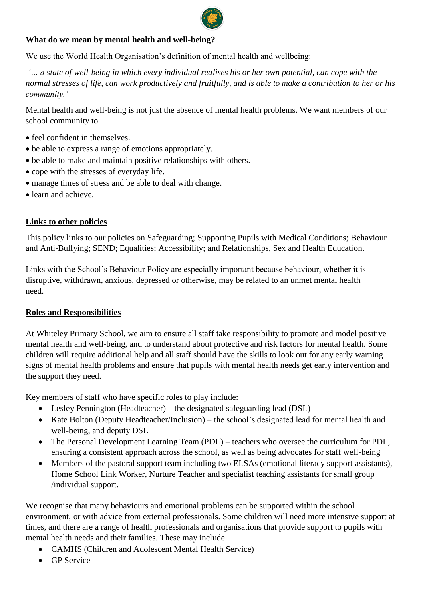

### **What do we mean by mental health and well-being?**

We use the World Health Organisation's definition of mental health and wellbeing:

*'… a state of well-being in which every individual realises his or her own potential, can cope with the normal stresses of life, can work productively and fruitfully, and is able to make a contribution to her or his community.'* 

Mental health and well-being is not just the absence of mental health problems. We want members of our school community to

- feel confident in themselves.
- be able to express a range of emotions appropriately.
- be able to make and maintain positive relationships with others.
- cope with the stresses of everyday life.
- manage times of stress and be able to deal with change.
- learn and achieve.

#### **Links to other policies**

This policy links to our policies on Safeguarding; Supporting Pupils with Medical Conditions; Behaviour and Anti-Bullying; SEND; Equalities; Accessibility; and Relationships, Sex and Health Education.

Links with the School's Behaviour Policy are especially important because behaviour, whether it is disruptive, withdrawn, anxious, depressed or otherwise, may be related to an unmet mental health need.

## **Roles and Responsibilities**

At Whiteley Primary School, we aim to ensure all staff take responsibility to promote and model positive mental health and well-being, and to understand about protective and risk factors for mental health. Some children will require additional help and all staff should have the skills to look out for any early warning signs of mental health problems and ensure that pupils with mental health needs get early intervention and the support they need.

Key members of staff who have specific roles to play include:

- Lesley Pennington (Headteacher) the designated safeguarding lead (DSL)
- Kate Bolton (Deputy Headteacher/Inclusion) the school's designated lead for mental health and well-being, and deputy DSL
- The Personal Development Learning Team (PDL) teachers who oversee the curriculum for PDL, ensuring a consistent approach across the school, as well as being advocates for staff well-being
- Members of the pastoral support team including two ELSAs (emotional literacy support assistants), Home School Link Worker, Nurture Teacher and specialist teaching assistants for small group /individual support.

We recognise that many behaviours and emotional problems can be supported within the school environment, or with advice from external professionals. Some children will need more intensive support at times, and there are a range of health professionals and organisations that provide support to pupils with mental health needs and their families. These may include

- CAMHS (Children and Adolescent Mental Health Service)
- **GP** Service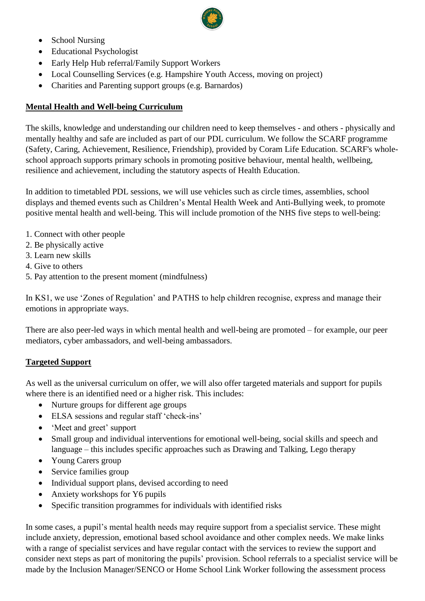

- School Nursing
- Educational Psychologist
- Early Help Hub referral/Family Support Workers
- Local Counselling Services (e.g. Hampshire Youth Access, moving on project)
- Charities and Parenting support groups (e.g. Barnardos)

### **Mental Health and Well-being Curriculum**

The skills, knowledge and understanding our children need to keep themselves - and others - physically and mentally healthy and safe are included as part of our PDL curriculum. We follow the SCARF programme (Safety, Caring, Achievement, Resilience, Friendship), provided by Coram Life Education. SCARF's wholeschool approach supports primary schools in promoting positive behaviour, mental health, wellbeing, resilience and achievement, including the statutory aspects of Health Education.

In addition to timetabled PDL sessions, we will use vehicles such as circle times, assemblies, school displays and themed events such as Children's Mental Health Week and Anti-Bullying week, to promote positive mental health and well-being. This will include promotion of the NHS five steps to well-being:

- 1. Connect with other people
- 2. Be physically active
- 3. Learn new skills
- 4. Give to others
- 5. Pay attention to the present moment (mindfulness)

In KS1, we use 'Zones of Regulation' and PATHS to help children recognise, express and manage their emotions in appropriate ways.

There are also peer-led ways in which mental health and well-being are promoted – for example, our peer mediators, cyber ambassadors, and well-being ambassadors.

#### **Targeted Support**

As well as the universal curriculum on offer, we will also offer targeted materials and support for pupils where there is an identified need or a higher risk. This includes:

- Nurture groups for different age groups
- ELSA sessions and regular staff 'check-ins'
- 'Meet and greet' support
- Small group and individual interventions for emotional well-being, social skills and speech and language – this includes specific approaches such as Drawing and Talking, Lego therapy
- Young Carers group
- Service families group
- Individual support plans, devised according to need
- Anxiety workshops for Y6 pupils
- Specific transition programmes for individuals with identified risks

In some cases, a pupil's mental health needs may require support from a specialist service. These might include anxiety, depression, emotional based school avoidance and other complex needs. We make links with a range of specialist services and have regular contact with the services to review the support and consider next steps as part of monitoring the pupils' provision. School referrals to a specialist service will be made by the Inclusion Manager/SENCO or Home School Link Worker following the assessment process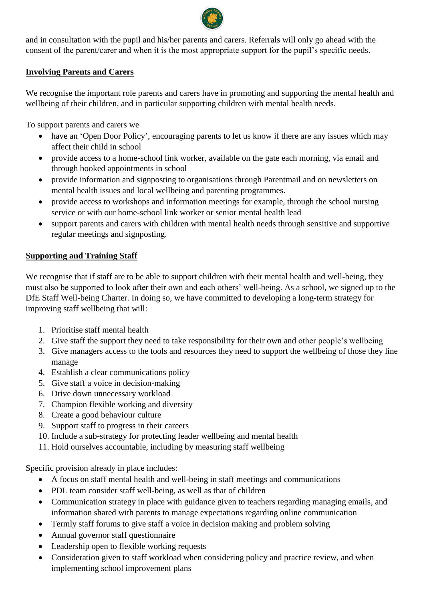and in consultation with the pupil and his/her parents and carers. Referrals will only go ahead with the consent of the parent/carer and when it is the most appropriate support for the pupil's specific needs.

# **Involving Parents and Carers**

We recognise the important role parents and carers have in promoting and supporting the mental health and wellbeing of their children, and in particular supporting children with mental health needs.

To support parents and carers we

- have an 'Open Door Policy', encouraging parents to let us know if there are any issues which may affect their child in school
- provide access to a home-school link worker, available on the gate each morning, via email and through booked appointments in school
- provide information and signposting to organisations through Parentmail and on newsletters on mental health issues and local wellbeing and parenting programmes.
- provide access to workshops and information meetings for example, through the school nursing service or with our home-school link worker or senior mental health lead
- support parents and carers with children with mental health needs through sensitive and supportive regular meetings and signposting.

# **Supporting and Training Staff**

We recognise that if staff are to be able to support children with their mental health and well-being, they must also be supported to look after their own and each others' well-being. As a school, we signed up to the DfE Staff Well-being Charter. In doing so, we have committed to developing a long-term strategy for improving staff wellbeing that will:

- 1. Prioritise staff mental health
- 2. Give staff the support they need to take responsibility for their own and other people's wellbeing
- 3. Give managers access to the tools and resources they need to support the wellbeing of those they line manage
- 4. Establish a clear communications policy
- 5. Give staff a voice in decision-making
- 6. Drive down unnecessary workload
- 7. Champion flexible working and diversity
- 8. Create a good behaviour culture
- 9. Support staff to progress in their careers
- 10. Include a sub-strategy for protecting leader wellbeing and mental health
- 11. Hold ourselves accountable, including by measuring staff wellbeing

Specific provision already in place includes:

- A focus on staff mental health and well-being in staff meetings and communications
- PDL team consider staff well-being, as well as that of children
- Communication strategy in place with guidance given to teachers regarding managing emails, and information shared with parents to manage expectations regarding online communication
- Termly staff forums to give staff a voice in decision making and problem solving
- Annual governor staff questionnaire
- Leadership open to flexible working requests
- Consideration given to staff workload when considering policy and practice review, and when implementing school improvement plans